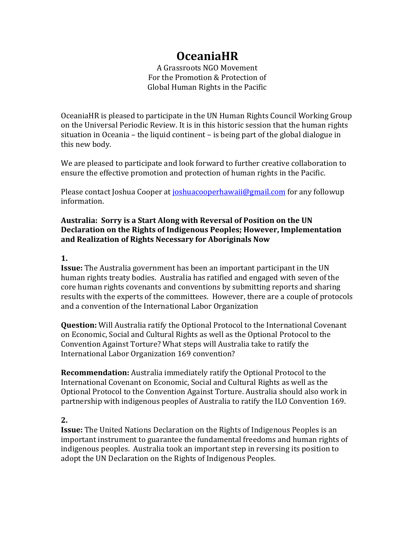# **OceaniaHR**

A Grassroots NGO Movement For the Promotion & Protection of Global Human Rights in the Pacific

OceaniaHR is pleased to participate in the UN Human Rights Council Working Group on the Universal Periodic Review. It is in this historic session that the human rights situation in Oceania – the liquid continent – is being part of the global dialogue in this new body.

We are pleased to participate and look forward to further creative collaboration to ensure the effective promotion and protection of human rights in the Pacific.

Please contact Joshua Cooper at joshuacooperhawaii@gmail.com for any followup information.

### **Australia: Sorry is a Start Along with Reversal of Position on the UN Declaration on the Rights of Indigenous Peoples; However, Implementation and Realization of Rights Necessary for Aboriginals Now**

#### **1.**

**Issue:** The Australia government has been an important participant in the UN human rights treaty bodies. Australia has ratified and engaged with seven of the core human rights covenants and conventions by submitting reports and sharing results with the experts of the committees. However, there are a couple of protocols and a convention of the International Labor Organization

**Question:** Will Australia ratify the Optional Protocol to the International Covenant on Economic, Social and Cultural Rights as well as the Optional Protocol to the Convention Against Torture? What steps will Australia take to ratify the International Labor Organization 169 convention?

**Recommendation:** Australia immediately ratify the Optional Protocol to the International Covenant on Economic, Social and Cultural Rights as well as the Optional Protocol to the Convention Against Torture. Australia should also work in partnership with indigenous peoples of Australia to ratify the ILO Convention 169.

## **2.**

**Issue:** The United Nations Declaration on the Rights of Indigenous Peoples is an important instrument to guarantee the fundamental freedoms and human rights of indigenous peoples. Australia took an important step in reversing its position to adopt the UN Declaration on the Rights of Indigenous Peoples.